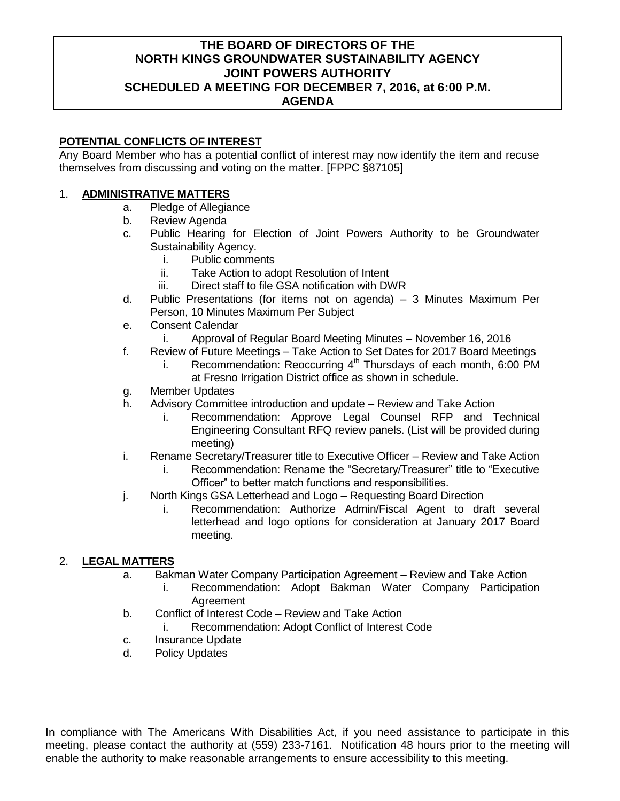# **THE BOARD OF DIRECTORS OF THE NORTH KINGS GROUNDWATER SUSTAINABILITY AGENCY JOINT POWERS AUTHORITY SCHEDULED A MEETING FOR DECEMBER 7, 2016, at 6:00 P.M. AGENDA**

## **POTENTIAL CONFLICTS OF INTEREST**

Any Board Member who has a potential conflict of interest may now identify the item and recuse themselves from discussing and voting on the matter. [FPPC §87105]

## 1. **ADMINISTRATIVE MATTERS**

- a. Pledge of Allegiance
- b. Review Agenda
- c. Public Hearing for Election of Joint Powers Authority to be Groundwater Sustainability Agency.
	- i. Public comments
	- ii. Take Action to adopt Resolution of Intent
	- iii. Direct staff to file GSA notification with DWR
- d. Public Presentations (for items not on agenda) 3 Minutes Maximum Per Person, 10 Minutes Maximum Per Subject
- e. Consent Calendar
	- i. Approval of Regular Board Meeting Minutes November 16, 2016
- f. Review of Future Meetings Take Action to Set Dates for 2017 Board Meetings
	- i. Recommendation: Reoccurring  $4<sup>th</sup>$  Thursdays of each month, 6:00 PM at Fresno Irrigation District office as shown in schedule.
- g. Member Updates
- h. Advisory Committee introduction and update Review and Take Action
	- i. Recommendation: Approve Legal Counsel RFP and Technical Engineering Consultant RFQ review panels. (List will be provided during meeting)
- i. Rename Secretary/Treasurer title to Executive Officer Review and Take Action
	- i. Recommendation: Rename the "Secretary/Treasurer" title to "Executive Officer" to better match functions and responsibilities.
- j. North Kings GSA Letterhead and Logo Requesting Board Direction
	- i. Recommendation: Authorize Admin/Fiscal Agent to draft several letterhead and logo options for consideration at January 2017 Board meeting.

## 2. **LEGAL MATTERS**

- a. Bakman Water Company Participation Agreement Review and Take Action
	- i. Recommendation: Adopt Bakman Water Company Participation **Agreement**
- b. Conflict of Interest Code Review and Take Action
	- i. Recommendation: Adopt Conflict of Interest Code
- c. Insurance Update
- d. Policy Updates

In compliance with The Americans With Disabilities Act, if you need assistance to participate in this meeting, please contact the authority at (559) 233-7161. Notification 48 hours prior to the meeting will enable the authority to make reasonable arrangements to ensure accessibility to this meeting.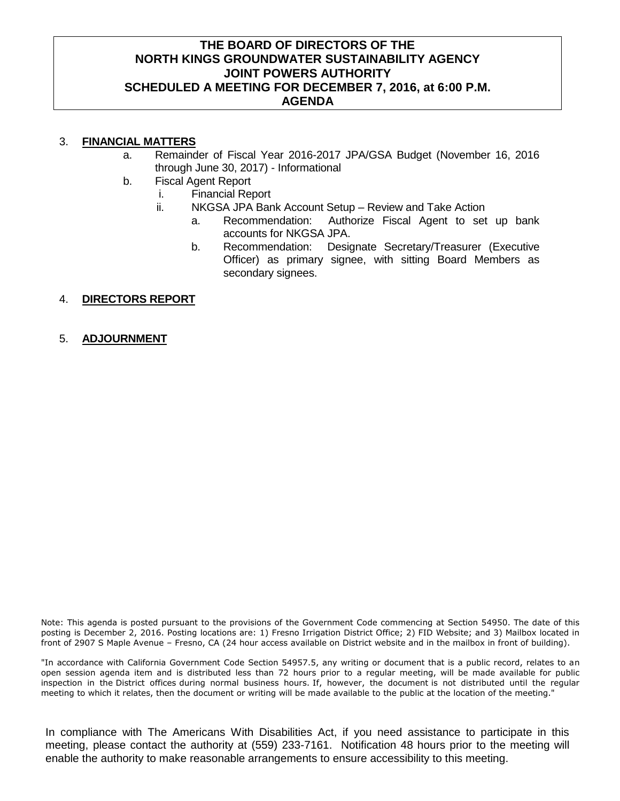## **THE BOARD OF DIRECTORS OF THE NORTH KINGS GROUNDWATER SUSTAINABILITY AGENCY JOINT POWERS AUTHORITY SCHEDULED A MEETING FOR DECEMBER 7, 2016, at 6:00 P.M. AGENDA**

## 3. **FINANCIAL MATTERS**

- a. Remainder of Fiscal Year 2016-2017 JPA/GSA Budget (November 16, 2016 through June 30, 2017) - Informational
- b. Fiscal Agent Report
	- i. Financial Report
		- ii. NKGSA JPA Bank Account Setup Review and Take Action
			- a. Recommendation: Authorize Fiscal Agent to set up bank accounts for NKGSA JPA.
			- b. Recommendation: Designate Secretary/Treasurer (Executive Officer) as primary signee, with sitting Board Members as secondary signees.

#### 4. **DIRECTORS REPORT**

5. **ADJOURNMENT**

Note: This agenda is posted pursuant to the provisions of the Government Code commencing at Section 54950. The date of this posting is December 2, 2016. Posting locations are: 1) Fresno Irrigation District Office; 2) FID Website; and 3) Mailbox located in front of 2907 S Maple Avenue – Fresno, CA (24 hour access available on District website and in the mailbox in front of building).

"In accordance with California Government Code Section 54957.5, any writing or document that is a public record, relates to an open session agenda item and is distributed less than 72 hours prior to a regular meeting, will be made available for public inspection in the District offices during normal business hours. If, however, the document is not distributed until the regular meeting to which it relates, then the document or writing will be made available to the public at the location of the meeting."

In compliance with The Americans With Disabilities Act, if you need assistance to participate in this meeting, please contact the authority at (559) 233-7161. Notification 48 hours prior to the meeting will enable the authority to make reasonable arrangements to ensure accessibility to this meeting.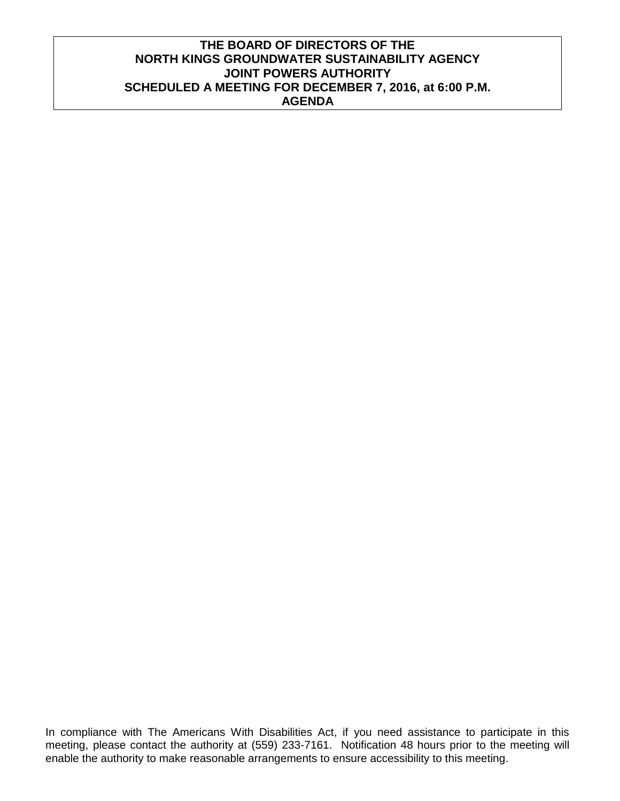# **THE BOARD OF DIRECTORS OF THE NORTH KINGS GROUNDWATER SUSTAINABILITY AGENCY JOINT POWERS AUTHORITY SCHEDULED A MEETING FOR DECEMBER 7, 2016, at 6:00 P.M. AGENDA**

In compliance with The Americans With Disabilities Act, if you need assistance to participate in this meeting, please contact the authority at (559) 233-7161. Notification 48 hours prior to the meeting will enable the authority to make reasonable arrangements to ensure accessibility to this meeting.